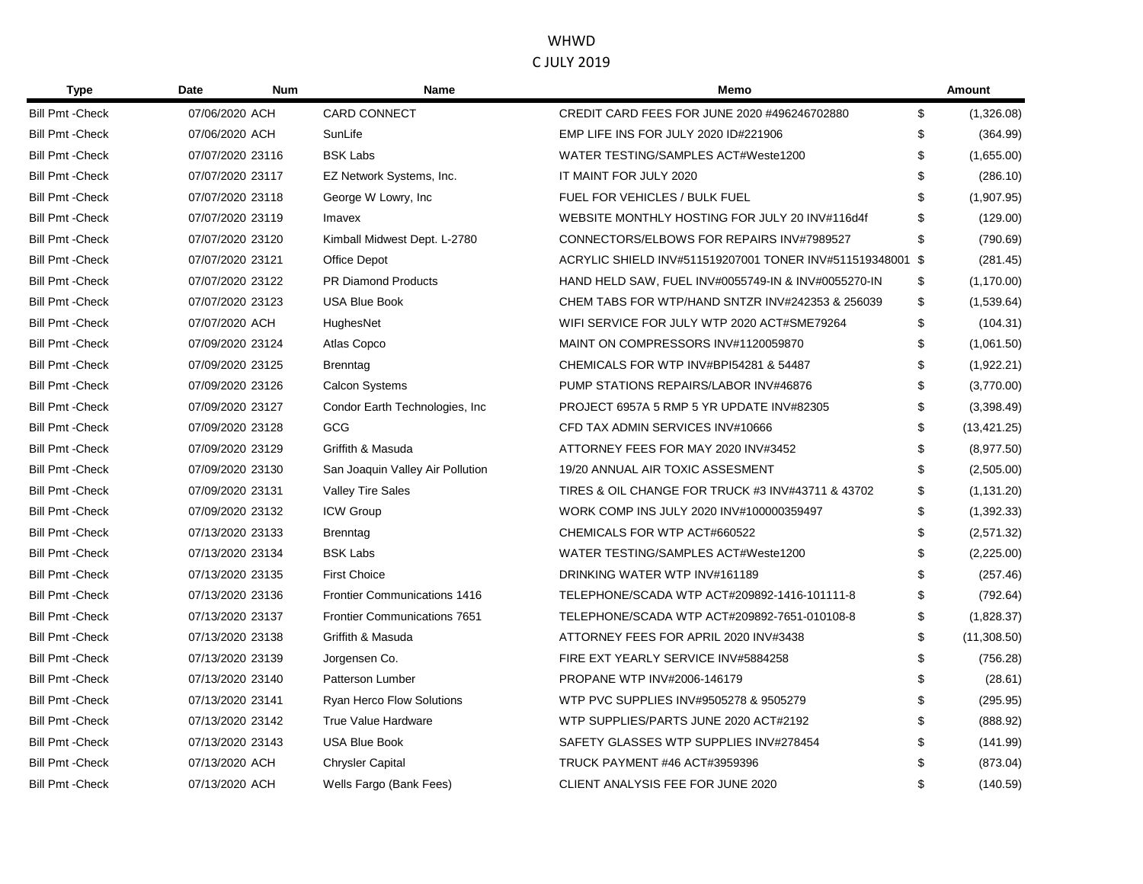| <b>Type</b>             | Date             | <b>Num</b> | <b>Name</b>                         | Memo                                                      |     | <b>Amount</b> |
|-------------------------|------------------|------------|-------------------------------------|-----------------------------------------------------------|-----|---------------|
| <b>Bill Pmt - Check</b> | 07/06/2020 ACH   |            | <b>CARD CONNECT</b>                 | CREDIT CARD FEES FOR JUNE 2020 #496246702880              | \$  | (1,326.08)    |
| <b>Bill Pmt - Check</b> | 07/06/2020 ACH   |            | SunLife                             | EMP LIFE INS FOR JULY 2020 ID#221906                      | \$  | (364.99)      |
| <b>Bill Pmt - Check</b> | 07/07/2020 23116 |            | <b>BSK Labs</b>                     | WATER TESTING/SAMPLES ACT#Weste1200                       | \$  | (1,655.00)    |
| <b>Bill Pmt - Check</b> | 07/07/2020 23117 |            | EZ Network Systems, Inc.            | IT MAINT FOR JULY 2020                                    | \$  | (286.10)      |
| <b>Bill Pmt - Check</b> | 07/07/2020 23118 |            | George W Lowry, Inc.                | FUEL FOR VEHICLES / BULK FUEL                             | \$. | (1,907.95)    |
| <b>Bill Pmt - Check</b> | 07/07/2020 23119 |            | Imavex                              | WEBSITE MONTHLY HOSTING FOR JULY 20 INV#116d4f            | \$  | (129.00)      |
| <b>Bill Pmt - Check</b> | 07/07/2020 23120 |            | Kimball Midwest Dept. L-2780        | CONNECTORS/ELBOWS FOR REPAIRS INV#7989527                 | \$  | (790.69)      |
| <b>Bill Pmt - Check</b> | 07/07/2020 23121 |            | Office Depot                        | ACRYLIC SHIELD INV#511519207001 TONER INV#511519348001 \$ |     | (281.45)      |
| <b>Bill Pmt - Check</b> | 07/07/2020 23122 |            | <b>PR Diamond Products</b>          | HAND HELD SAW, FUEL INV#0055749-IN & INV#0055270-IN       | \$  | (1, 170.00)   |
| <b>Bill Pmt - Check</b> | 07/07/2020 23123 |            | <b>USA Blue Book</b>                | CHEM TABS FOR WTP/HAND SNTZR INV#242353 & 256039          | \$  | (1,539.64)    |
| <b>Bill Pmt - Check</b> | 07/07/2020 ACH   |            | HughesNet                           | WIFI SERVICE FOR JULY WTP 2020 ACT#SME79264               | \$  | (104.31)      |
| <b>Bill Pmt - Check</b> | 07/09/2020 23124 |            | Atlas Copco                         | MAINT ON COMPRESSORS INV#1120059870                       | \$  | (1,061.50)    |
| <b>Bill Pmt - Check</b> | 07/09/2020 23125 |            | <b>Brenntag</b>                     | CHEMICALS FOR WTP INV#BPI54281 & 54487                    | \$  | (1,922.21)    |
| <b>Bill Pmt - Check</b> | 07/09/2020 23126 |            | <b>Calcon Systems</b>               | PUMP STATIONS REPAIRS/LABOR INV#46876                     | \$  | (3,770.00)    |
| <b>Bill Pmt - Check</b> | 07/09/2020 23127 |            | Condor Earth Technologies, Inc.     | PROJECT 6957A 5 RMP 5 YR UPDATE INV#82305                 | \$  | (3,398.49)    |
| <b>Bill Pmt - Check</b> | 07/09/2020 23128 |            | GCG                                 | CFD TAX ADMIN SERVICES INV#10666                          | \$  | (13, 421.25)  |
| <b>Bill Pmt - Check</b> | 07/09/2020 23129 |            | Griffith & Masuda                   | ATTORNEY FEES FOR MAY 2020 INV#3452                       | \$  | (8,977.50)    |
| <b>Bill Pmt - Check</b> | 07/09/2020 23130 |            | San Joaquin Valley Air Pollution    | 19/20 ANNUAL AIR TOXIC ASSESMENT                          | \$  | (2,505.00)    |
| <b>Bill Pmt - Check</b> | 07/09/2020 23131 |            | <b>Valley Tire Sales</b>            | TIRES & OIL CHANGE FOR TRUCK #3 INV#43711 & 43702         | \$  | (1, 131.20)   |
| <b>Bill Pmt - Check</b> | 07/09/2020 23132 |            | <b>ICW Group</b>                    | WORK COMP INS JULY 2020 INV#100000359497                  | \$  | (1,392.33)    |
| <b>Bill Pmt - Check</b> | 07/13/2020 23133 |            | <b>Brenntag</b>                     | CHEMICALS FOR WTP ACT#660522                              | \$  | (2,571.32)    |
| <b>Bill Pmt - Check</b> | 07/13/2020 23134 |            | <b>BSK Labs</b>                     | WATER TESTING/SAMPLES ACT#Weste1200                       | \$  | (2,225.00)    |
| <b>Bill Pmt - Check</b> | 07/13/2020 23135 |            | <b>First Choice</b>                 | DRINKING WATER WTP INV#161189                             | \$. | (257.46)      |
| <b>Bill Pmt - Check</b> | 07/13/2020 23136 |            | <b>Frontier Communications 1416</b> | TELEPHONE/SCADA WTP ACT#209892-1416-101111-8              | \$  | (792.64)      |
| <b>Bill Pmt - Check</b> | 07/13/2020 23137 |            | <b>Frontier Communications 7651</b> | TELEPHONE/SCADA WTP ACT#209892-7651-010108-8              | \$  | (1,828.37)    |
| <b>Bill Pmt - Check</b> | 07/13/2020 23138 |            | Griffith & Masuda                   | ATTORNEY FEES FOR APRIL 2020 INV#3438                     | \$  | (11,308.50)   |
| <b>Bill Pmt - Check</b> | 07/13/2020 23139 |            | Jorgensen Co.                       | FIRE EXT YEARLY SERVICE INV#5884258                       | \$  | (756.28)      |
| <b>Bill Pmt - Check</b> | 07/13/2020 23140 |            | Patterson Lumber                    | PROPANE WTP INV#2006-146179                               | \$  | (28.61)       |
| <b>Bill Pmt - Check</b> | 07/13/2020 23141 |            | <b>Ryan Herco Flow Solutions</b>    | WTP PVC SUPPLIES INV#9505278 & 9505279                    | \$  | (295.95)      |
| <b>Bill Pmt - Check</b> | 07/13/2020 23142 |            | True Value Hardware                 | WTP SUPPLIES/PARTS JUNE 2020 ACT#2192                     | \$  | (888.92)      |
| <b>Bill Pmt - Check</b> | 07/13/2020 23143 |            | <b>USA Blue Book</b>                | SAFETY GLASSES WTP SUPPLIES INV#278454                    | \$  | (141.99)      |
| <b>Bill Pmt - Check</b> | 07/13/2020 ACH   |            | <b>Chrysler Capital</b>             | <b>TRUCK PAYMENT #46 ACT#3959396</b>                      | \$  | (873.04)      |
| <b>Bill Pmt - Check</b> | 07/13/2020 ACH   |            | Wells Fargo (Bank Fees)             | CLIENT ANALYSIS FEE FOR JUNE 2020                         | \$  | (140.59)      |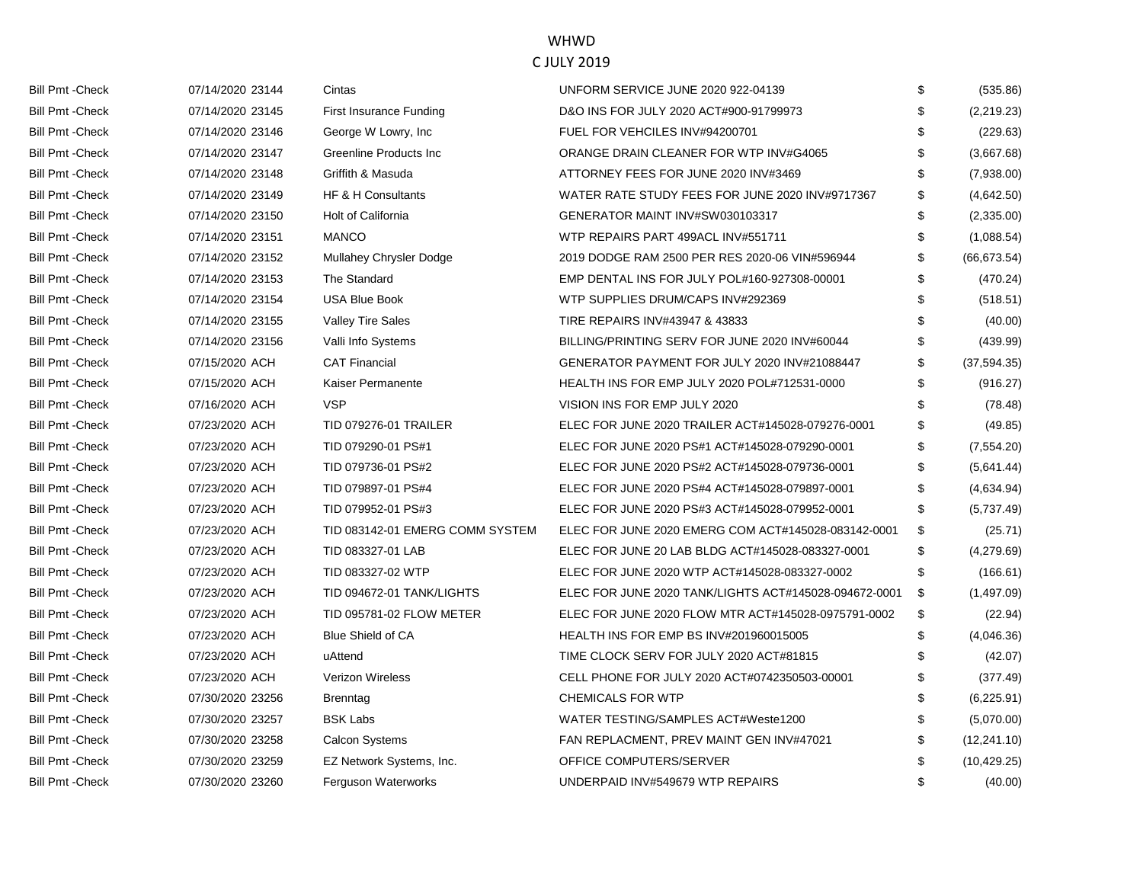| <b>Bill Pmt - Check</b> | 07/14/2020 23144 | Cintas                          | UNFORM SERVICE JUNE 2020 922-04139                    | \$  | (535.86)     |
|-------------------------|------------------|---------------------------------|-------------------------------------------------------|-----|--------------|
| <b>Bill Pmt - Check</b> | 07/14/2020 23145 | <b>First Insurance Funding</b>  | D&O INS FOR JULY 2020 ACT#900-91799973                | \$  | (2,219.23)   |
| <b>Bill Pmt - Check</b> | 07/14/2020 23146 | George W Lowry, Inc.            | FUEL FOR VEHCILES INV#94200701                        | \$  | (229.63)     |
| <b>Bill Pmt - Check</b> | 07/14/2020 23147 | Greenline Products Inc          | ORANGE DRAIN CLEANER FOR WTP INV#G4065                | \$  | (3,667.68)   |
| <b>Bill Pmt - Check</b> | 07/14/2020 23148 | Griffith & Masuda               | ATTORNEY FEES FOR JUNE 2020 INV#3469                  | \$  | (7,938.00)   |
| <b>Bill Pmt - Check</b> | 07/14/2020 23149 | HF & H Consultants              | WATER RATE STUDY FEES FOR JUNE 2020 INV#9717367       | \$  | (4,642.50)   |
| <b>Bill Pmt - Check</b> | 07/14/2020 23150 | <b>Holt of California</b>       | GENERATOR MAINT INV#SW030103317                       | \$  | (2,335.00)   |
| <b>Bill Pmt - Check</b> | 07/14/2020 23151 | <b>MANCO</b>                    | WTP REPAIRS PART 499ACL INV#551711                    | \$  | (1,088.54)   |
| <b>Bill Pmt - Check</b> | 07/14/2020 23152 | Mullahey Chrysler Dodge         | 2019 DODGE RAM 2500 PER RES 2020-06 VIN#596944        | \$  | (66, 673.54) |
| <b>Bill Pmt - Check</b> | 07/14/2020 23153 | The Standard                    | EMP DENTAL INS FOR JULY POL#160-927308-00001          | \$  | (470.24)     |
| <b>Bill Pmt - Check</b> | 07/14/2020 23154 | <b>USA Blue Book</b>            | WTP SUPPLIES DRUM/CAPS INV#292369                     | \$  | (518.51)     |
| <b>Bill Pmt - Check</b> | 07/14/2020 23155 | <b>Valley Tire Sales</b>        | TIRE REPAIRS INV#43947 & 43833                        | \$. | (40.00)      |
| <b>Bill Pmt - Check</b> | 07/14/2020 23156 | Valli Info Systems              | BILLING/PRINTING SERV FOR JUNE 2020 INV#60044         | \$  | (439.99)     |
| <b>Bill Pmt - Check</b> | 07/15/2020 ACH   | <b>CAT Financial</b>            | GENERATOR PAYMENT FOR JULY 2020 INV#21088447          | \$  | (37, 594.35) |
| <b>Bill Pmt - Check</b> | 07/15/2020 ACH   | Kaiser Permanente               | HEALTH INS FOR EMP JULY 2020 POL#712531-0000          | \$  | (916.27)     |
| <b>Bill Pmt - Check</b> | 07/16/2020 ACH   | <b>VSP</b>                      | VISION INS FOR EMP JULY 2020                          | \$. | (78.48)      |
| <b>Bill Pmt - Check</b> | 07/23/2020 ACH   | TID 079276-01 TRAILER           | ELEC FOR JUNE 2020 TRAILER ACT#145028-079276-0001     | \$  | (49.85)      |
| <b>Bill Pmt - Check</b> | 07/23/2020 ACH   | TID 079290-01 PS#1              | ELEC FOR JUNE 2020 PS#1 ACT#145028-079290-0001        | \$  | (7, 554.20)  |
| <b>Bill Pmt - Check</b> | 07/23/2020 ACH   | TID 079736-01 PS#2              | ELEC FOR JUNE 2020 PS#2 ACT#145028-079736-0001        | \$  | (5,641.44)   |
| <b>Bill Pmt - Check</b> | 07/23/2020 ACH   | TID 079897-01 PS#4              | ELEC FOR JUNE 2020 PS#4 ACT#145028-079897-0001        | \$  | (4,634.94)   |
| <b>Bill Pmt - Check</b> | 07/23/2020 ACH   | TID 079952-01 PS#3              | ELEC FOR JUNE 2020 PS#3 ACT#145028-079952-0001        | \$  | (5,737.49)   |
| <b>Bill Pmt - Check</b> | 07/23/2020 ACH   | TID 083142-01 EMERG COMM SYSTEM | ELEC FOR JUNE 2020 EMERG COM ACT#145028-083142-0001   | \$  | (25.71)      |
| <b>Bill Pmt - Check</b> | 07/23/2020 ACH   | TID 083327-01 LAB               | ELEC FOR JUNE 20 LAB BLDG ACT#145028-083327-0001      | \$  | (4,279.69)   |
| <b>Bill Pmt - Check</b> | 07/23/2020 ACH   | TID 083327-02 WTP               | ELEC FOR JUNE 2020 WTP ACT#145028-083327-0002         | \$  | (166.61)     |
| <b>Bill Pmt - Check</b> | 07/23/2020 ACH   | TID 094672-01 TANK/LIGHTS       | ELEC FOR JUNE 2020 TANK/LIGHTS ACT#145028-094672-0001 | \$  | (1,497.09)   |
| <b>Bill Pmt - Check</b> | 07/23/2020 ACH   | TID 095781-02 FLOW METER        | ELEC FOR JUNE 2020 FLOW MTR ACT#145028-0975791-0002   | \$  | (22.94)      |
| <b>Bill Pmt - Check</b> | 07/23/2020 ACH   | <b>Blue Shield of CA</b>        | HEALTH INS FOR EMP BS INV#201960015005                | \$  | (4,046.36)   |
| <b>Bill Pmt - Check</b> | 07/23/2020 ACH   | uAttend                         | TIME CLOCK SERV FOR JULY 2020 ACT#81815               | \$  | (42.07)      |
| <b>Bill Pmt - Check</b> | 07/23/2020 ACH   | <b>Verizon Wireless</b>         | CELL PHONE FOR JULY 2020 ACT#0742350503-00001         | \$  | (377.49)     |
| <b>Bill Pmt - Check</b> | 07/30/2020 23256 | <b>Brenntag</b>                 | <b>CHEMICALS FOR WTP</b>                              | \$  | (6,225.91)   |
| <b>Bill Pmt - Check</b> | 07/30/2020 23257 | <b>BSK Labs</b>                 | WATER TESTING/SAMPLES ACT#Weste1200                   | \$  | (5,070.00)   |
| <b>Bill Pmt - Check</b> | 07/30/2020 23258 | <b>Calcon Systems</b>           | FAN REPLACMENT, PREV MAINT GEN INV#47021              | \$  | (12, 241.10) |
| <b>Bill Pmt - Check</b> | 07/30/2020 23259 | EZ Network Systems, Inc.        | OFFICE COMPUTERS/SERVER                               | \$  | (10, 429.25) |
| <b>Bill Pmt - Check</b> | 07/30/2020 23260 | Ferguson Waterworks             | UNDERPAID INV#549679 WTP REPAIRS                      | \$  | (40.00)      |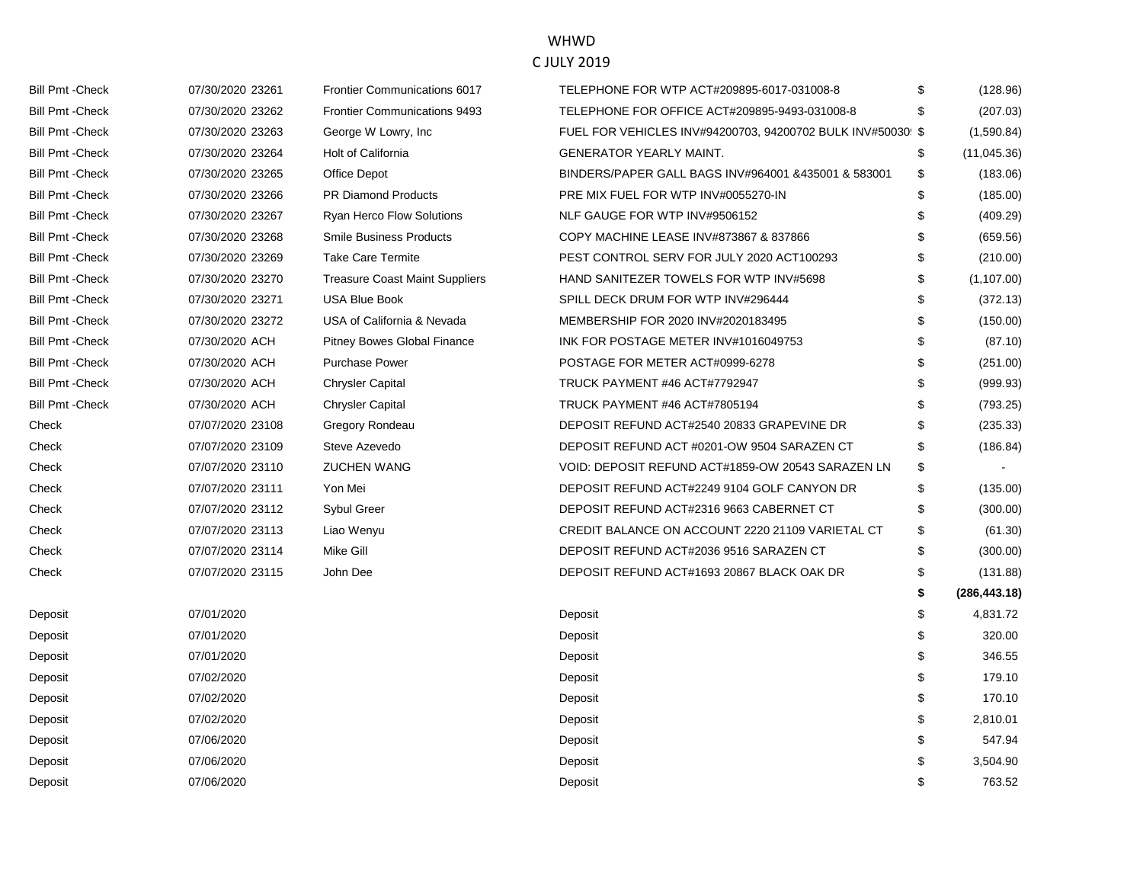| <b>Bill Pmt - Check</b> | 07/30/2020 23263 | George W Lowry, Inc.                  | FUEL FOR VEHICLES INV#94200703, 94200702 BULK INV#50030! \$ | (1,590.84)        |
|-------------------------|------------------|---------------------------------------|-------------------------------------------------------------|-------------------|
| <b>Bill Pmt - Check</b> | 07/30/2020 23264 | Holt of California                    | GENERATOR YEARLY MAINT.                                     | \$<br>(11,045.36) |
| <b>Bill Pmt - Check</b> | 07/30/2020 23265 | Office Depot                          | BINDERS/PAPER GALL BAGS INV#964001 &435001 & 583001         | \$<br>(183.06)    |
| <b>Bill Pmt - Check</b> | 07/30/2020 23266 | <b>PR Diamond Products</b>            | PRE MIX FUEL FOR WTP INV#0055270-IN                         | \$<br>(185.00)    |
| <b>Bill Pmt - Check</b> | 07/30/2020 23267 | <b>Ryan Herco Flow Solutions</b>      | NLF GAUGE FOR WTP INV#9506152                               | \$<br>(409.29)    |
| <b>Bill Pmt - Check</b> | 07/30/2020 23268 | <b>Smile Business Products</b>        | COPY MACHINE LEASE INV#873867 & 837866                      | (659.56)          |
| <b>Bill Pmt - Check</b> | 07/30/2020 23269 | <b>Take Care Termite</b>              | PEST CONTROL SERV FOR JULY 2020 ACT100293                   | \$<br>(210.00)    |
| <b>Bill Pmt - Check</b> | 07/30/2020 23270 | <b>Treasure Coast Maint Suppliers</b> | HAND SANITEZER TOWELS FOR WTP INV#5698                      | \$<br>(1, 107.00) |
| <b>Bill Pmt - Check</b> | 07/30/2020 23271 | <b>USA Blue Book</b>                  | SPILL DECK DRUM FOR WTP INV#296444                          | (372.13)          |
| <b>Bill Pmt - Check</b> | 07/30/2020 23272 | USA of California & Nevada            | MEMBERSHIP FOR 2020 INV#2020183495                          | \$<br>(150.00)    |
| <b>Bill Pmt - Check</b> | 07/30/2020 ACH   | <b>Pitney Bowes Global Finance</b>    | INK FOR POSTAGE METER INV#1016049753                        | \$<br>(87.10)     |
| <b>Bill Pmt - Check</b> | 07/30/2020 ACH   | <b>Purchase Power</b>                 | POSTAGE FOR METER ACT#0999-6278                             | (251.00)          |
| <b>Bill Pmt - Check</b> | 07/30/2020 ACH   | <b>Chrysler Capital</b>               | TRUCK PAYMENT #46 ACT#7792947                               | (999.93)          |
| <b>Bill Pmt - Check</b> | 07/30/2020 ACH   | <b>Chrysler Capital</b>               | TRUCK PAYMENT #46 ACT#7805194                               | (793.25)          |
| Check                   | 07/07/2020 23108 | Gregory Rondeau                       | DEPOSIT REFUND ACT#2540 20833 GRAPEVINE DR                  | (235.33)          |
| Check                   | 07/07/2020 23109 | Steve Azevedo                         | DEPOSIT REFUND ACT #0201-OW 9504 SARAZEN CT                 | \$<br>(186.84)    |
| Check                   | 07/07/2020 23110 | <b>ZUCHEN WANG</b>                    | VOID: DEPOSIT REFUND ACT#1859-OW 20543 SARAZEN LN           | \$                |
| Check                   | 07/07/2020 23111 | Yon Mei                               | DEPOSIT REFUND ACT#2249 9104 GOLF CANYON DR                 | \$<br>(135.00)    |
| Check                   | 07/07/2020 23112 | <b>Sybul Greer</b>                    | DEPOSIT REFUND ACT#2316 9663 CABERNET CT                    | (300.00)          |
|                         |                  |                                       |                                                             |                   |
| Check                   | 07/07/2020 23113 | Liao Wenyu                            | CREDIT BALANCE ON ACCOUNT 2220 21109 VARIETAL CT            | \$<br>(61.30)     |
| Check                   | 07/07/2020 23114 | Mike Gill                             | DEPOSIT REFUND ACT#2036 9516 SARAZEN CT                     | \$<br>(300.00)    |
| Check                   | 07/07/2020 23115 | John Dee                              | DEPOSIT REFUND ACT#1693 20867 BLACK OAK DR                  | \$<br>(131.88)    |
|                         |                  |                                       |                                                             | (286, 443.18)     |
| Deposit                 | 07/01/2020       |                                       | Deposit                                                     | \$<br>4,831.72    |
| Deposit                 | 07/01/2020       |                                       | Deposit                                                     | \$<br>320.00      |
| Deposit                 | 07/01/2020       |                                       | Deposit                                                     | \$<br>346.55      |
| Deposit                 | 07/02/2020       |                                       | Deposit                                                     | \$<br>179.10      |
| Deposit                 | 07/02/2020       |                                       | Deposit                                                     | 170.10            |
| Deposit                 | 07/02/2020       |                                       | Deposit                                                     | \$<br>2,810.01    |
| Deposit                 | 07/06/2020       |                                       | Deposit                                                     | \$<br>547.94      |
| Deposit                 | 07/06/2020       |                                       | Deposit                                                     | 3,504.90          |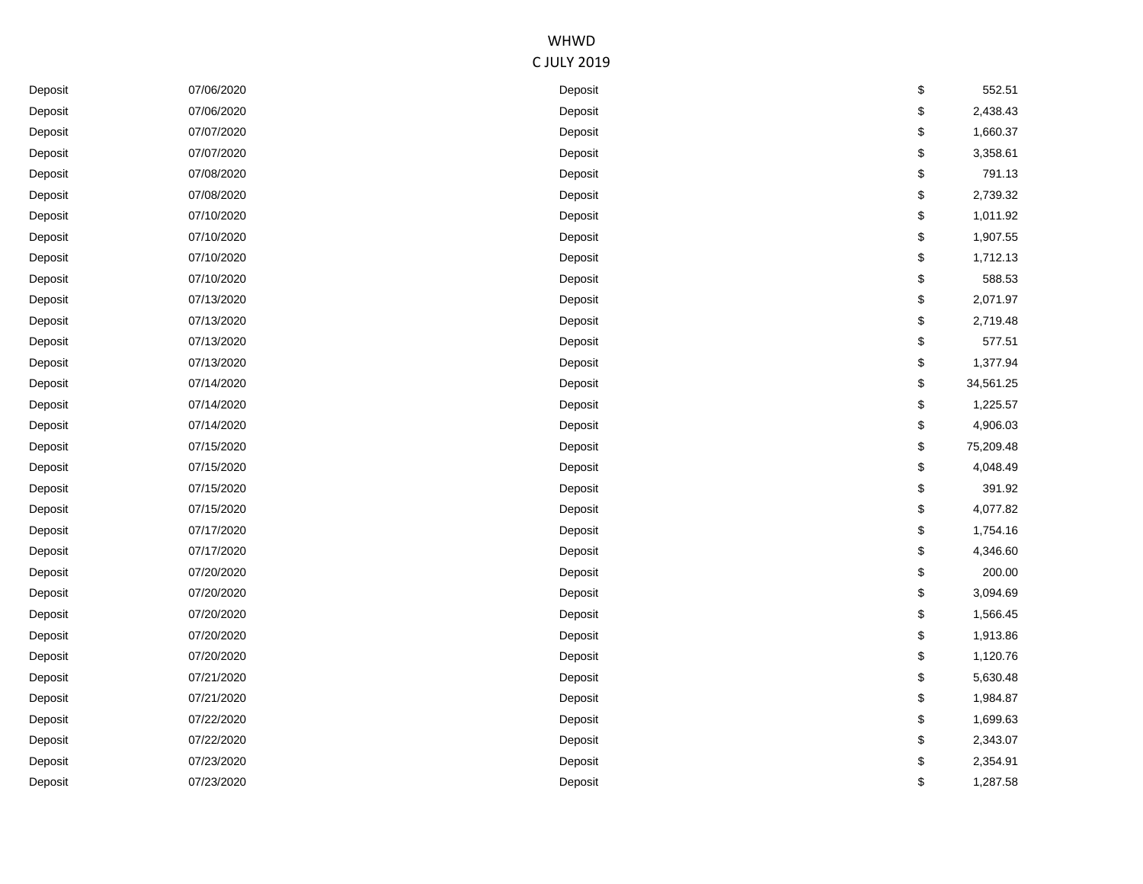| Deposit | 07/06/2020 | Deposit | \$<br>552.51    |
|---------|------------|---------|-----------------|
| Deposit | 07/06/2020 | Deposit | \$<br>2,438.43  |
| Deposit | 07/07/2020 | Deposit | \$<br>1,660.37  |
| Deposit | 07/07/2020 | Deposit | \$<br>3,358.61  |
| Deposit | 07/08/2020 | Deposit | \$<br>791.13    |
| Deposit | 07/08/2020 | Deposit | \$<br>2,739.32  |
| Deposit | 07/10/2020 | Deposit | \$<br>1,011.92  |
| Deposit | 07/10/2020 | Deposit | \$<br>1,907.55  |
| Deposit | 07/10/2020 | Deposit | \$<br>1,712.13  |
| Deposit | 07/10/2020 | Deposit | \$<br>588.53    |
| Deposit | 07/13/2020 | Deposit | \$<br>2,071.97  |
| Deposit | 07/13/2020 | Deposit | \$<br>2,719.48  |
| Deposit | 07/13/2020 | Deposit | \$<br>577.51    |
| Deposit | 07/13/2020 | Deposit | \$<br>1,377.94  |
| Deposit | 07/14/2020 | Deposit | \$<br>34,561.25 |
| Deposit | 07/14/2020 | Deposit | \$<br>1,225.57  |
| Deposit | 07/14/2020 | Deposit | \$<br>4,906.03  |
| Deposit | 07/15/2020 | Deposit | \$<br>75,209.48 |
| Deposit | 07/15/2020 | Deposit | \$<br>4,048.49  |
| Deposit | 07/15/2020 | Deposit | \$<br>391.92    |
| Deposit | 07/15/2020 | Deposit | \$<br>4,077.82  |
| Deposit | 07/17/2020 | Deposit | \$<br>1,754.16  |
| Deposit | 07/17/2020 | Deposit | \$<br>4,346.60  |
| Deposit | 07/20/2020 | Deposit | \$<br>200.00    |
| Deposit | 07/20/2020 | Deposit | \$<br>3,094.69  |
| Deposit | 07/20/2020 | Deposit | \$<br>1,566.45  |
| Deposit | 07/20/2020 | Deposit | \$<br>1,913.86  |
| Deposit | 07/20/2020 | Deposit | \$<br>1,120.76  |
| Deposit | 07/21/2020 | Deposit | \$<br>5,630.48  |
| Deposit | 07/21/2020 | Deposit | \$<br>1,984.87  |
| Deposit | 07/22/2020 | Deposit | \$<br>1,699.63  |
| Deposit | 07/22/2020 | Deposit | \$<br>2,343.07  |
| Deposit | 07/23/2020 | Deposit | \$<br>2,354.91  |
| Deposit | 07/23/2020 | Deposit | \$<br>1,287.58  |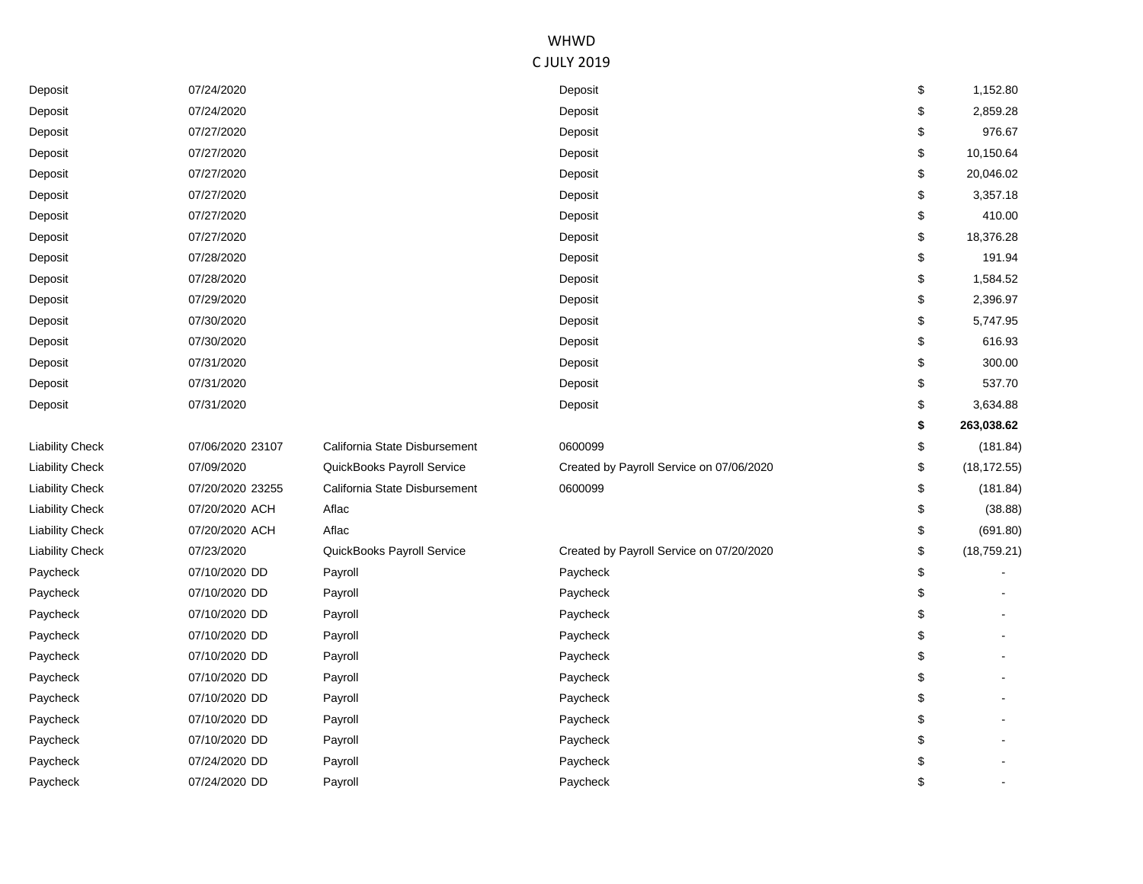| Deposit                | 07/24/2020       |                               | Deposit                                  | \$<br>1,152.80     |
|------------------------|------------------|-------------------------------|------------------------------------------|--------------------|
| Deposit                | 07/24/2020       |                               | Deposit                                  | \$<br>2,859.28     |
| Deposit                | 07/27/2020       |                               | Deposit                                  | \$<br>976.67       |
| Deposit                | 07/27/2020       |                               | Deposit                                  | \$<br>10,150.64    |
| Deposit                | 07/27/2020       |                               | Deposit                                  | \$<br>20,046.02    |
| Deposit                | 07/27/2020       |                               | Deposit                                  | \$<br>3,357.18     |
| Deposit                | 07/27/2020       |                               | Deposit                                  | \$<br>410.00       |
| Deposit                | 07/27/2020       |                               | Deposit                                  | \$<br>18,376.28    |
| Deposit                | 07/28/2020       |                               | Deposit                                  | \$<br>191.94       |
| Deposit                | 07/28/2020       |                               | Deposit                                  | \$<br>1,584.52     |
| Deposit                | 07/29/2020       |                               | Deposit                                  | \$<br>2,396.97     |
| Deposit                | 07/30/2020       |                               | Deposit                                  | \$<br>5,747.95     |
| Deposit                | 07/30/2020       |                               | Deposit                                  | \$<br>616.93       |
| Deposit                | 07/31/2020       |                               | Deposit                                  | \$<br>300.00       |
| Deposit                | 07/31/2020       |                               | Deposit                                  | \$<br>537.70       |
| Deposit                | 07/31/2020       |                               | Deposit                                  | \$<br>3,634.88     |
|                        |                  |                               |                                          | \$<br>263,038.62   |
| <b>Liability Check</b> | 07/06/2020 23107 | California State Disbursement | 0600099                                  | \$<br>(181.84)     |
| <b>Liability Check</b> | 07/09/2020       | QuickBooks Payroll Service    | Created by Payroll Service on 07/06/2020 | \$<br>(18, 172.55) |
| <b>Liability Check</b> | 07/20/2020 23255 | California State Disbursement | 0600099                                  | \$<br>(181.84)     |
| <b>Liability Check</b> | 07/20/2020 ACH   | Aflac                         |                                          | \$<br>(38.88)      |
| <b>Liability Check</b> | 07/20/2020 ACH   | Aflac                         |                                          | \$<br>(691.80)     |
| <b>Liability Check</b> | 07/23/2020       | QuickBooks Payroll Service    | Created by Payroll Service on 07/20/2020 | \$<br>(18, 759.21) |
| Paycheck               | 07/10/2020 DD    | Payroll                       | Paycheck                                 | \$                 |
| Paycheck               | 07/10/2020 DD    | Payroll                       | Paycheck                                 | \$                 |
| Paycheck               | 07/10/2020 DD    | Payroll                       | Paycheck                                 | \$                 |
| Paycheck               | 07/10/2020 DD    | Payroll                       | Paycheck                                 | \$                 |
| Paycheck               | 07/10/2020 DD    | Payroll                       | Paycheck                                 | \$                 |
| Paycheck               | 07/10/2020 DD    | Payroll                       | Paycheck                                 | \$                 |
| Paycheck               | 07/10/2020 DD    | Payroll                       | Paycheck                                 | \$                 |
| Paycheck               | 07/10/2020 DD    | Payroll                       | Paycheck                                 | \$                 |
| Paycheck               | 07/10/2020 DD    | Payroll                       | Paycheck                                 | \$                 |
| Paycheck               | 07/24/2020 DD    | Payroll                       | Paycheck                                 | \$                 |
| Paycheck               | 07/24/2020 DD    | Payroll                       | Paycheck                                 | \$                 |